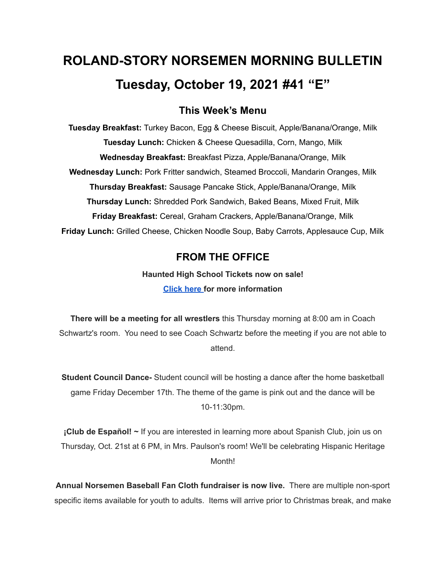# **ROLAND-STORY NORSEMEN MORNING BULLETIN Tuesday, October 19, 2021 #41 "E"**

# **This Week's Menu**

**Tuesday Breakfast:** Turkey Bacon, Egg & Cheese Biscuit, Apple/Banana/Orange, Milk **Tuesday Lunch:** Chicken & Cheese Quesadilla, Corn, Mango, Milk **Wednesday Breakfast:** Breakfast Pizza, Apple/Banana/Orange, Milk **Wednesday Lunch:** Pork Fritter sandwich, Steamed Broccoli, Mandarin Oranges, Milk **Thursday Breakfast:** Sausage Pancake Stick, Apple/Banana/Orange, Milk **Thursday Lunch:** Shredded Pork Sandwich, Baked Beans, Mixed Fruit, Milk **Friday Breakfast:** Cereal, Graham Crackers, Apple/Banana/Orange, Milk **Friday Lunch:** Grilled Cheese, Chicken Noodle Soup, Baby Carrots, Applesauce Cup, Milk

# **FROM THE OFFICE**

**Haunted High School Tickets now on sale! [Click](https://drive.google.com/file/d/1QQXVvjnwkvK4mkS1QKdNp9LhOMZRHqKl/view?usp=sharing) here for more information**

**There will be a meeting for all wrestlers** this Thursday morning at 8:00 am in Coach Schwartz's room. You need to see Coach Schwartz before the meeting if you are not able to attend.

**Student Council Dance-** Student council will be hosting a dance after the home basketball game Friday December 17th. The theme of the game is pink out and the dance will be 10-11:30pm.

**¡Club de Español! ~** If you are interested in learning more about Spanish Club, join us on Thursday, Oct. 21st at 6 PM, in Mrs. Paulson's room! We'll be celebrating Hispanic Heritage Month!

**Annual Norsemen Baseball Fan Cloth fundraiser is now live.** There are multiple non-sport specific items available for youth to adults. Items will arrive prior to Christmas break, and make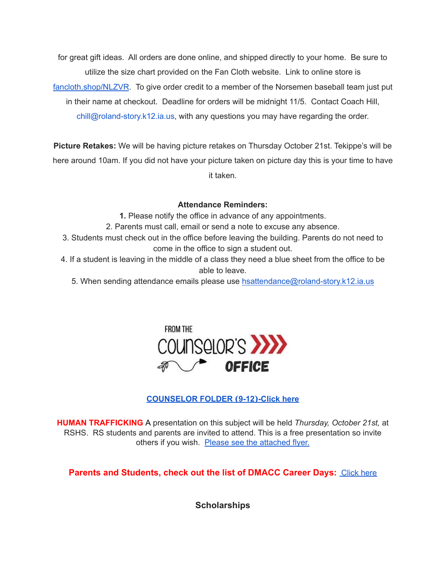for great gift ideas. All orders are done online, and shipped directly to your home. Be sure to utilize the size chart provided on the Fan Cloth website. Link to online store is [fancloth.shop/NLZVR](http://fancloth.shop/NLZVR). To give order credit to a member of the Norsemen baseball team just put in their name at checkout. Deadline for orders will be midnight 11/5. Contact Coach Hill, chill@roland-story.k12.ia.us, with any questions you may have regarding the order.

**Picture Retakes:** We will be having picture retakes on Thursday October 21st. Tekippe's will be here around 10am. If you did not have your picture taken on picture day this is your time to have it taken.

## **Attendance Reminders:**

- **1.** Please notify the office in advance of any appointments.
- 2. Parents must call, email or send a note to excuse any absence.
- 3. Students must check out in the office before leaving the building. Parents do not need to come in the office to sign a student out.
- 4. If a student is leaving in the middle of a class they need a blue sheet from the office to be able to leave.
	- 5. When sending attendance emails please use [hsattendance@roland-story.k12.ia.us](mailto:hsattendance@roland-story.k12.ia.us)



# **[COUNSELOR](https://docs.google.com/document/d/1vmwczNPbDzXe9vFaG5LJMQ7NYDv-i4oQJHybqA65TUc/edit?usp=sharing) FOLDER (9-12)-Click here**

**HUMAN TRAFFICKING** A presentation on this subject will be held *Thursday, October 21st,* at RSHS. RS students and parents are invited to attend. This is a free presentation so invite others if you wish. Please see the [attached](https://drive.google.com/file/d/1yauLbYbFOUL1W6YeHUsplVp9VT4j6PbF/view?usp=sharing) flyer.

**Parents and Students, check out the list of DMACC Career Days: [Click](https://www.dmacc.edu/careerdiscovery/Pages/careerdiscovery.aspx) here** 

**Scholarships**